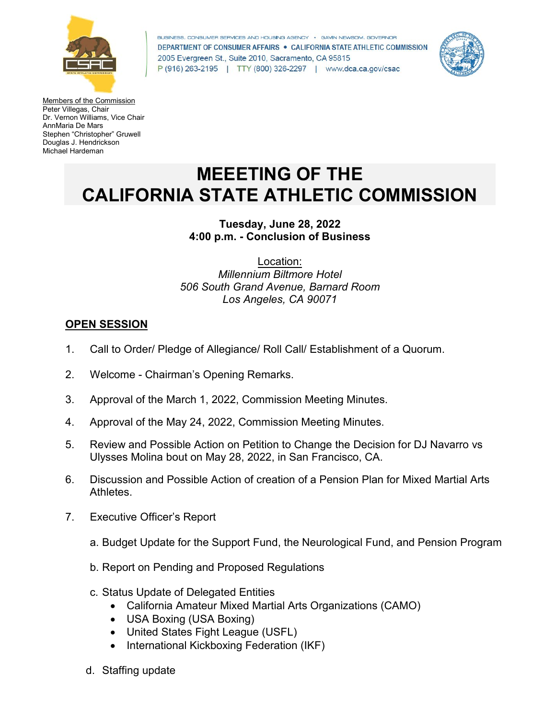

BUSINESS, CONSUMER SERVICES AND HOUSING AGENCY . GAVIN NEWSOM, GOVERNOR DEPARTMENT OF CONSUMER AFFAIRS . CALIFORNIA STATE ATHLETIC COMMISSION 2005 Evergreen St., Suite 2010, Sacramento, CA 95815 P (916) 263-2195 | TTY (800) 326-2297 | www.dca.ca.gov/csac



Members of the Commission Peter Villegas, Chair Dr. Vernon Williams, Vice Chair AnnMaria De Mars Stephen "Christopher" Gruwell Douglas J. Hendrickson Michael Hardeman

# **MEEETING OF THE CALIFORNIA STATE ATHLETIC COMMISSION**

## **Tuesday, June 28, 2022 4:00 p.m. - Conclusion of Business**

Location: *Millennium Biltmore Hotel 506 South Grand Avenue, Barnard Room Los Angeles, CA 90071*

## **OPEN SESSION**

- 1. Call to Order/ Pledge of Allegiance/ Roll Call/ Establishment of a Quorum.
- 2. Welcome Chairman's Opening Remarks.
- 3. Approval of the March 1, 2022, Commission Meeting Minutes.
- 4. Approval of the May 24, 2022, Commission Meeting Minutes.
- 5. Review and Possible Action on Petition to Change the Decision for DJ Navarro vs Ulysses Molina bout on May 28, 2022, in San Francisco, CA.
- 6. Discussion and Possible Action of creation of a Pension Plan for Mixed Martial Arts **Athletes**
- 7. Executive Officer's Report
	- a. Budget Update for the Support Fund, the Neurological Fund, and Pension Program
	- b. Report on Pending and Proposed Regulations
	- c. Status Update of Delegated Entities
		- California Amateur Mixed Martial Arts Organizations (CAMO)
		- USA Boxing (USA Boxing)
		- United States Fight League (USFL)
		- International Kickboxing Federation (IKF)
	- d. Staffing update